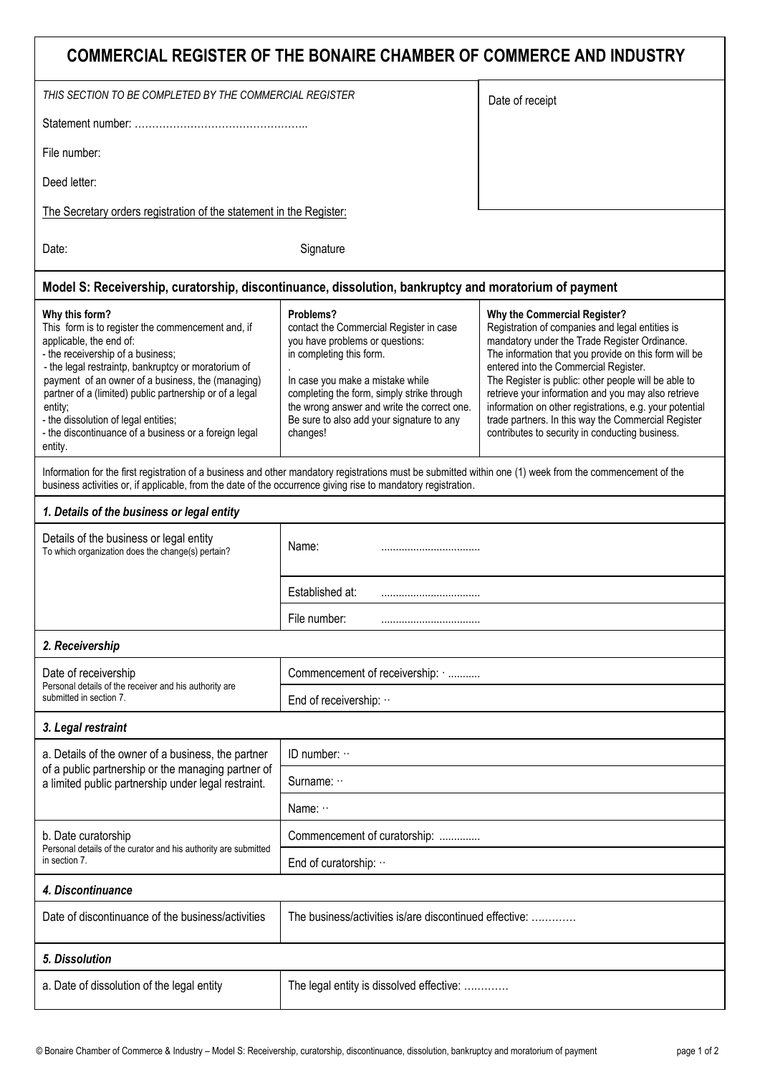| COMMERCIAL REGISTER OF THE BONAIRE CHAMBER OF COMMERCE AND INDUSTRY                                                                                                                                                                                                                                                                                                                                                               |                                                                                                                                                                                                                                                                                                               |                                                                                                                                                                                                                                                                                                                                                                                                                                                                                                                        |  |  |
|-----------------------------------------------------------------------------------------------------------------------------------------------------------------------------------------------------------------------------------------------------------------------------------------------------------------------------------------------------------------------------------------------------------------------------------|---------------------------------------------------------------------------------------------------------------------------------------------------------------------------------------------------------------------------------------------------------------------------------------------------------------|------------------------------------------------------------------------------------------------------------------------------------------------------------------------------------------------------------------------------------------------------------------------------------------------------------------------------------------------------------------------------------------------------------------------------------------------------------------------------------------------------------------------|--|--|
| THIS SECTION TO BE COMPLETED BY THE COMMERCIAL REGISTER                                                                                                                                                                                                                                                                                                                                                                           |                                                                                                                                                                                                                                                                                                               | Date of receipt                                                                                                                                                                                                                                                                                                                                                                                                                                                                                                        |  |  |
|                                                                                                                                                                                                                                                                                                                                                                                                                                   |                                                                                                                                                                                                                                                                                                               |                                                                                                                                                                                                                                                                                                                                                                                                                                                                                                                        |  |  |
| File number:                                                                                                                                                                                                                                                                                                                                                                                                                      |                                                                                                                                                                                                                                                                                                               |                                                                                                                                                                                                                                                                                                                                                                                                                                                                                                                        |  |  |
| Deed letter:                                                                                                                                                                                                                                                                                                                                                                                                                      |                                                                                                                                                                                                                                                                                                               |                                                                                                                                                                                                                                                                                                                                                                                                                                                                                                                        |  |  |
| The Secretary orders registration of the statement in the Register:                                                                                                                                                                                                                                                                                                                                                               |                                                                                                                                                                                                                                                                                                               |                                                                                                                                                                                                                                                                                                                                                                                                                                                                                                                        |  |  |
| Date:                                                                                                                                                                                                                                                                                                                                                                                                                             | Signature                                                                                                                                                                                                                                                                                                     |                                                                                                                                                                                                                                                                                                                                                                                                                                                                                                                        |  |  |
| Model S: Receivership, curatorship, discontinuance, dissolution, bankruptcy and moratorium of payment                                                                                                                                                                                                                                                                                                                             |                                                                                                                                                                                                                                                                                                               |                                                                                                                                                                                                                                                                                                                                                                                                                                                                                                                        |  |  |
| Why this form?<br>This form is to register the commencement and, if<br>applicable, the end of:<br>- the receivership of a business;<br>- the legal restraintp, bankruptcy or moratorium of<br>payment of an owner of a business, the (managing)<br>partner of a (limited) public partnership or of a legal<br>entity;<br>- the dissolution of legal entities;<br>- the discontinuance of a business or a foreign legal<br>entity. | Problems?<br>contact the Commercial Register in case<br>you have problems or questions:<br>in completing this form.<br>In case you make a mistake while<br>completing the form, simply strike through<br>the wrong answer and write the correct one.<br>Be sure to also add your signature to any<br>changes! | Why the Commercial Register?<br>Registration of companies and legal entities is<br>mandatory under the Trade Register Ordinance.<br>The information that you provide on this form will be<br>entered into the Commercial Register.<br>The Register is public: other people will be able to<br>retrieve your information and you may also retrieve<br>information on other registrations, e.g. your potential<br>trade partners. In this way the Commercial Register<br>contributes to security in conducting business. |  |  |
| Information for the first registration of a business and other mandatory registrations must be submitted within one (1) week from the commencement of the<br>business activities or, if applicable, from the date of the occurrence giving rise to mandatory registration.                                                                                                                                                        |                                                                                                                                                                                                                                                                                                               |                                                                                                                                                                                                                                                                                                                                                                                                                                                                                                                        |  |  |
| 1. Details of the business or legal entity                                                                                                                                                                                                                                                                                                                                                                                        |                                                                                                                                                                                                                                                                                                               |                                                                                                                                                                                                                                                                                                                                                                                                                                                                                                                        |  |  |
| Details of the business or legal entity<br>To which organization does the change(s) pertain?                                                                                                                                                                                                                                                                                                                                      | Name:<br>Established at:                                                                                                                                                                                                                                                                                      |                                                                                                                                                                                                                                                                                                                                                                                                                                                                                                                        |  |  |
|                                                                                                                                                                                                                                                                                                                                                                                                                                   |                                                                                                                                                                                                                                                                                                               |                                                                                                                                                                                                                                                                                                                                                                                                                                                                                                                        |  |  |
|                                                                                                                                                                                                                                                                                                                                                                                                                                   | File number:<br>                                                                                                                                                                                                                                                                                              |                                                                                                                                                                                                                                                                                                                                                                                                                                                                                                                        |  |  |
| 2. Receivership                                                                                                                                                                                                                                                                                                                                                                                                                   |                                                                                                                                                                                                                                                                                                               |                                                                                                                                                                                                                                                                                                                                                                                                                                                                                                                        |  |  |
| Date of receivership<br>Personal details of the receiver and his authority are<br>submitted in section 7.                                                                                                                                                                                                                                                                                                                         | Commencement of receivership:                                                                                                                                                                                                                                                                                 |                                                                                                                                                                                                                                                                                                                                                                                                                                                                                                                        |  |  |
|                                                                                                                                                                                                                                                                                                                                                                                                                                   | End of receivership:                                                                                                                                                                                                                                                                                          |                                                                                                                                                                                                                                                                                                                                                                                                                                                                                                                        |  |  |
| 3. Legal restraint                                                                                                                                                                                                                                                                                                                                                                                                                |                                                                                                                                                                                                                                                                                                               |                                                                                                                                                                                                                                                                                                                                                                                                                                                                                                                        |  |  |
| a. Details of the owner of a business, the partner<br>of a public partnership or the managing partner of<br>a limited public partnership under legal restraint.                                                                                                                                                                                                                                                                   | ID number: $\cdots$                                                                                                                                                                                                                                                                                           |                                                                                                                                                                                                                                                                                                                                                                                                                                                                                                                        |  |  |
|                                                                                                                                                                                                                                                                                                                                                                                                                                   | Surname:                                                                                                                                                                                                                                                                                                      |                                                                                                                                                                                                                                                                                                                                                                                                                                                                                                                        |  |  |
|                                                                                                                                                                                                                                                                                                                                                                                                                                   | Name: $\cdots$                                                                                                                                                                                                                                                                                                |                                                                                                                                                                                                                                                                                                                                                                                                                                                                                                                        |  |  |
| b. Date curatorship<br>Personal details of the curator and his authority are submitted                                                                                                                                                                                                                                                                                                                                            | Commencement of curatorship:                                                                                                                                                                                                                                                                                  |                                                                                                                                                                                                                                                                                                                                                                                                                                                                                                                        |  |  |
| in section 7.                                                                                                                                                                                                                                                                                                                                                                                                                     | End of curatorship:                                                                                                                                                                                                                                                                                           |                                                                                                                                                                                                                                                                                                                                                                                                                                                                                                                        |  |  |
| 4. Discontinuance                                                                                                                                                                                                                                                                                                                                                                                                                 |                                                                                                                                                                                                                                                                                                               |                                                                                                                                                                                                                                                                                                                                                                                                                                                                                                                        |  |  |
| Date of discontinuance of the business/activities                                                                                                                                                                                                                                                                                                                                                                                 | The business/activities is/are discontinued effective:                                                                                                                                                                                                                                                        |                                                                                                                                                                                                                                                                                                                                                                                                                                                                                                                        |  |  |
| 5. Dissolution                                                                                                                                                                                                                                                                                                                                                                                                                    |                                                                                                                                                                                                                                                                                                               |                                                                                                                                                                                                                                                                                                                                                                                                                                                                                                                        |  |  |
| a. Date of dissolution of the legal entity                                                                                                                                                                                                                                                                                                                                                                                        | The legal entity is dissolved effective:                                                                                                                                                                                                                                                                      |                                                                                                                                                                                                                                                                                                                                                                                                                                                                                                                        |  |  |